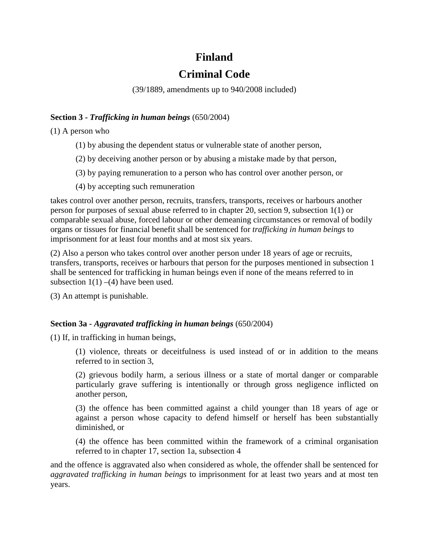## **Finland**

# **Criminal Code**

(39/1889, amendments up to 940/2008 included)

#### **Section 3 -** *Trafficking in human beings* (650/2004)

(1) A person who

- (1) by abusing the dependent status or vulnerable state of another person,
- (2) by deceiving another person or by abusing a mistake made by that person,
- (3) by paying remuneration to a person who has control over another person, or
- (4) by accepting such remuneration

takes control over another person, recruits, transfers, transports, receives or harbours another person for purposes of sexual abuse referred to in chapter 20, section 9, subsection 1(1) or comparable sexual abuse, forced labour or other demeaning circumstances or removal of bodily organs or tissues for financial benefit shall be sentenced for *trafficking in human beings* to imprisonment for at least four months and at most six years.

(2) Also a person who takes control over another person under 18 years of age or recruits, transfers, transports, receives or harbours that person for the purposes mentioned in subsection 1 shall be sentenced for trafficking in human beings even if none of the means referred to in subsection  $1(1)$  –(4) have been used.

(3) An attempt is punishable.

### **Section 3a -** *Aggravated trafficking in human beings* (650/2004)

(1) If, in trafficking in human beings,

(1) violence, threats or deceitfulness is used instead of or in addition to the means referred to in section 3,

(2) grievous bodily harm, a serious illness or a state of mortal danger or comparable particularly grave suffering is intentionally or through gross negligence inflicted on another person,

(3) the offence has been committed against a child younger than 18 years of age or against a person whose capacity to defend himself or herself has been substantially diminished, or

(4) the offence has been committed within the framework of a criminal organisation referred to in chapter 17, section 1a, subsection 4

and the offence is aggravated also when considered as whole, the offender shall be sentenced for *aggravated trafficking in human beings* to imprisonment for at least two years and at most ten years.